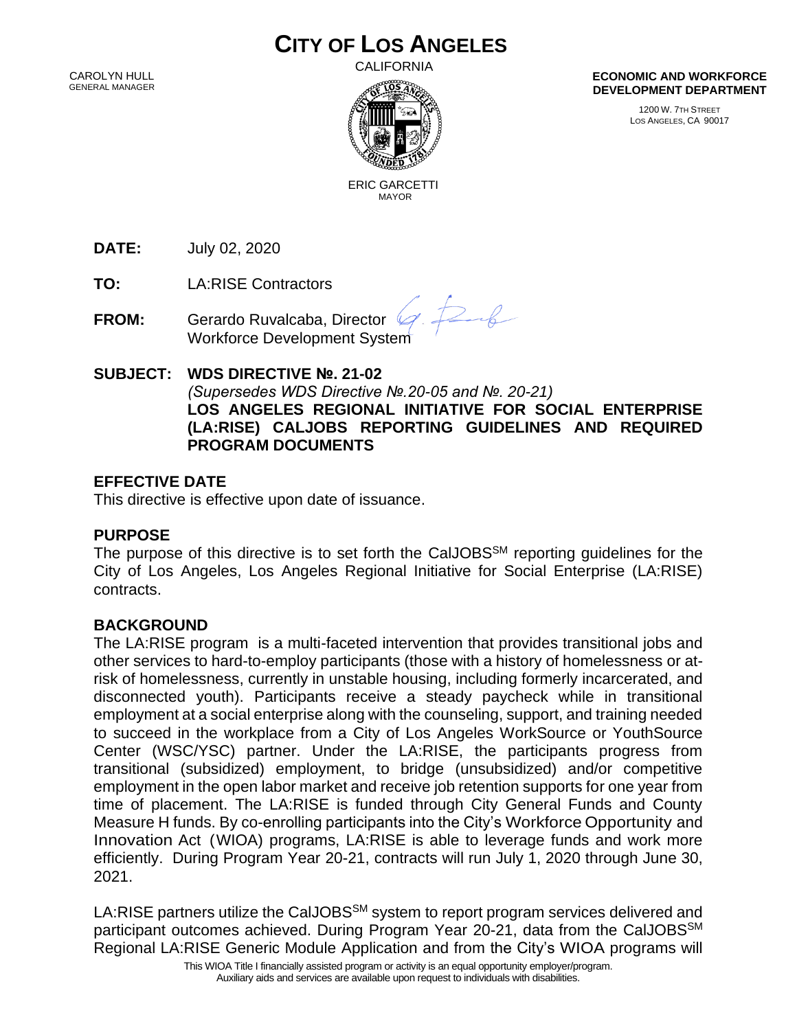# **CITY OF LOS ANGELES**

 CAROLYN HULL GENERAL MANAGER CALIFORNIA



**ECONOMIC AND WORKFORCE DEVELOPMENT DEPARTMENT**

> 1200 W. 7TH STREET LOS ANGELES, CA 90017

 ERIC GARCETTI MAYOR

**DATE:** July 02, 2020

**TO:** LA:RISE Contractors

**FROM:** Gerardo Ruvalcaba, Director Workforce Development System

#### **SUBJECT: WDS DIRECTIVE №. 21-02** *(Supersedes WDS Directive №.20-05 and №. 20-21)* **LOS ANGELES REGIONAL INITIATIVE FOR SOCIAL ENTERPRISE (LA:RISE) CALJOBS REPORTING GUIDELINES AND REQUIRED PROGRAM DOCUMENTS**

 $26$ 

# **EFFECTIVE DATE**

This directive is effective upon date of issuance.

# **PURPOSE**

The purpose of this directive is to set forth the CalJOBS<sup>SM</sup> reporting quidelines for the City of Los Angeles, Los Angeles Regional Initiative for Social Enterprise (LA:RISE) contracts.

# **BACKGROUND**

The LA:RISE program is a multi-faceted intervention that provides transitional jobs and other services to hard-to-employ participants (those with a history of homelessness or atrisk of homelessness, currently in unstable housing, including formerly incarcerated, and disconnected youth). Participants receive a steady paycheck while in transitional employment at a social enterprise along with the counseling, support, and training needed to succeed in the workplace from a City of Los Angeles WorkSource or YouthSource Center (WSC/YSC) partner. Under the LA:RISE, the participants progress from transitional (subsidized) employment, to bridge (unsubsidized) and/or competitive employment in the open labor market and receive job retention supports for one year from time of placement. The LA:RISE is funded through City General Funds and County Measure H funds. By co-enrolling participants into the City's Workforce Opportunity and Innovation Act (WIOA) programs, LA:RISE is able to leverage funds and work more efficiently. During Program Year 20-21, contracts will run July 1, 2020 through June 30, 2021.

LA:RISE partners utilize the CalJOBS<sup>SM</sup> system to report program services delivered and participant outcomes achieved. During Program Year 20-21, data from the CalJOBS<sup>SM</sup> Regional LA:RISE Generic Module Application and from the City's WIOA programs will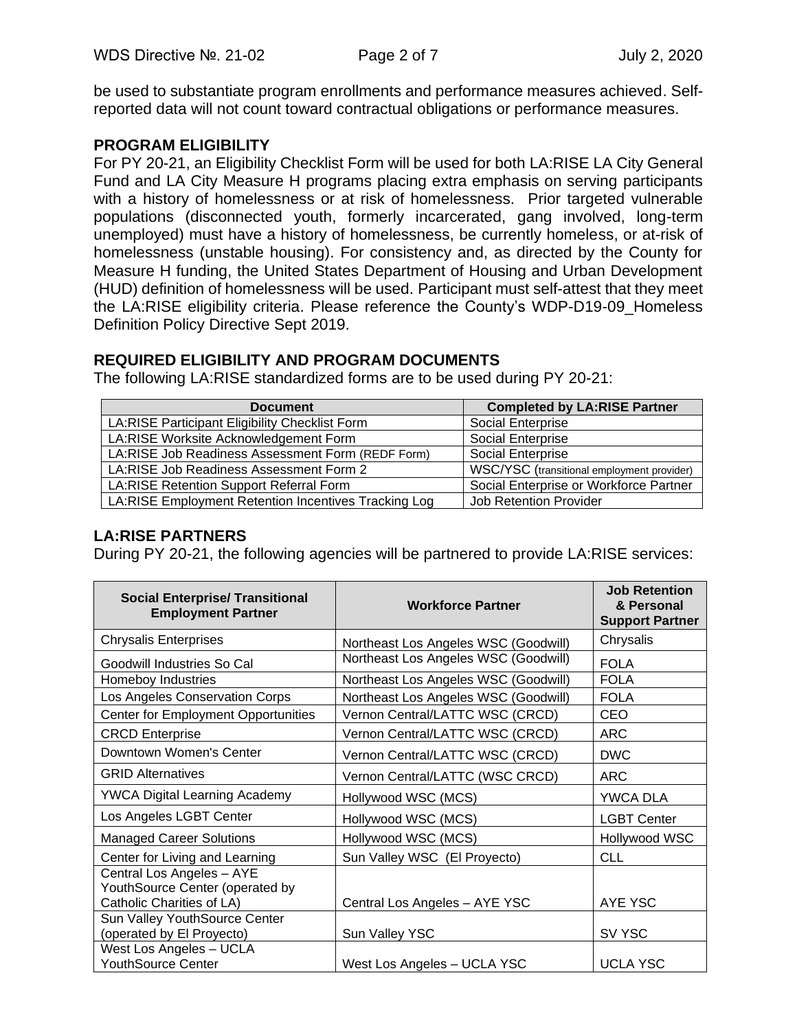be used to substantiate program enrollments and performance measures achieved. Selfreported data will not count toward contractual obligations or performance measures.

# **PROGRAM ELIGIBILITY**

For PY 20-21, an Eligibility Checklist Form will be used for both LA:RISE LA City General Fund and LA City Measure H programs placing extra emphasis on serving participants with a history of homelessness or at risk of homelessness. Prior targeted vulnerable populations (disconnected youth, formerly incarcerated, gang involved, long-term unemployed) must have a history of homelessness, be currently homeless, or at-risk of homelessness (unstable housing). For consistency and, as directed by the County for Measure H funding, the United States Department of Housing and Urban Development (HUD) definition of homelessness will be used. Participant must self-attest that they meet the LA:RISE eligibility criteria. Please reference the County's WDP-D19-09\_Homeless Definition Policy Directive Sept 2019.

# **REQUIRED ELIGIBILITY AND PROGRAM DOCUMENTS**

The following LA:RISE standardized forms are to be used during PY 20-21:

| <b>Document</b>                                      | <b>Completed by LA:RISE Partner</b>        |
|------------------------------------------------------|--------------------------------------------|
| LA:RISE Participant Eligibility Checklist Form       | Social Enterprise                          |
| LA:RISE Worksite Acknowledgement Form                | Social Enterprise                          |
| LA:RISE Job Readiness Assessment Form (REDF Form)    | Social Enterprise                          |
| LA: RISE Job Readiness Assessment Form 2             | WSC/YSC (transitional employment provider) |
| LA:RISE Retention Support Referral Form              | Social Enterprise or Workforce Partner     |
| LA:RISE Employment Retention Incentives Tracking Log | <b>Job Retention Provider</b>              |

# **LA:RISE PARTNERS**

During PY 20-21, the following agencies will be partnered to provide LA:RISE services:

| <b>Social Enterprise/ Transitional</b><br><b>Employment Partner</b> | <b>Workforce Partner</b>             | <b>Job Retention</b><br>& Personal<br><b>Support Partner</b> |
|---------------------------------------------------------------------|--------------------------------------|--------------------------------------------------------------|
| <b>Chrysalis Enterprises</b>                                        | Northeast Los Angeles WSC (Goodwill) | Chrysalis                                                    |
| Goodwill Industries So Cal                                          | Northeast Los Angeles WSC (Goodwill) | <b>FOLA</b>                                                  |
| Homeboy Industries                                                  | Northeast Los Angeles WSC (Goodwill) | <b>FOLA</b>                                                  |
| Los Angeles Conservation Corps                                      | Northeast Los Angeles WSC (Goodwill) | <b>FOLA</b>                                                  |
| <b>Center for Employment Opportunities</b>                          | Vernon Central/LATTC WSC (CRCD)      | CEO                                                          |
| <b>CRCD Enterprise</b>                                              | Vernon Central/LATTC WSC (CRCD)      | <b>ARC</b>                                                   |
| Downtown Women's Center                                             | Vernon Central/LATTC WSC (CRCD)      | <b>DWC</b>                                                   |
| <b>GRID Alternatives</b>                                            | Vernon Central/LATTC (WSC CRCD)      | <b>ARC</b>                                                   |
| <b>YWCA Digital Learning Academy</b>                                | Hollywood WSC (MCS)                  | YWCA DLA                                                     |
| Los Angeles LGBT Center                                             | Hollywood WSC (MCS)                  | <b>LGBT Center</b>                                           |
| <b>Managed Career Solutions</b>                                     | Hollywood WSC (MCS)                  | Hollywood WSC                                                |
| Center for Living and Learning                                      | Sun Valley WSC (El Proyecto)         | <b>CLL</b>                                                   |
| Central Los Angeles - AYE<br>YouthSource Center (operated by        |                                      |                                                              |
| Catholic Charities of LA)                                           | Central Los Angeles - AYE YSC        | AYE YSC                                                      |
| Sun Valley YouthSource Center                                       |                                      |                                                              |
| (operated by El Proyecto)                                           | Sun Valley YSC                       | SV YSC                                                       |
| West Los Angeles - UCLA                                             |                                      |                                                              |
| YouthSource Center                                                  | West Los Angeles - UCLA YSC          | <b>UCLA YSC</b>                                              |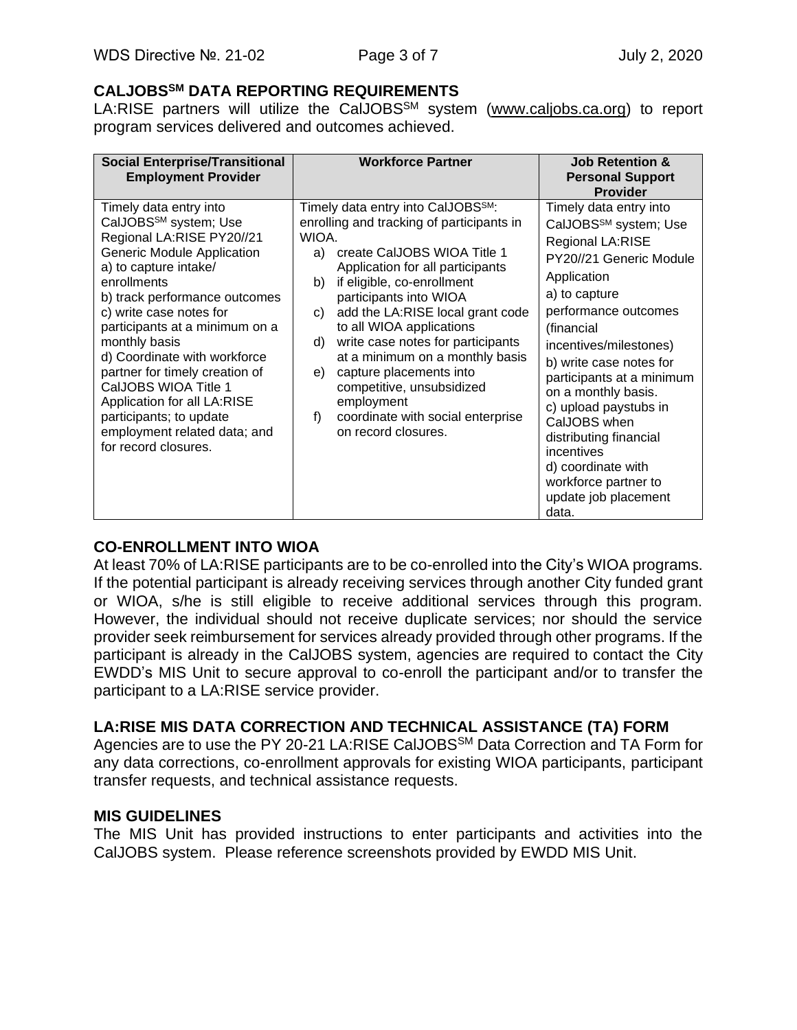#### **CALJOBSSM DATA REPORTING REQUIREMENTS**

LA:RISE partners will utilize the CalJOBS<sup>SM</sup> system [\(www.caljobs.ca.org\)](http://www.caljobs.ca.org/) to report program services delivered and outcomes achieved.

| <b>Social Enterprise/Transitional</b><br><b>Employment Provider</b>                                                                                                                                                                                                                                                                                                                                                                                                                       | <b>Workforce Partner</b>                                                                                                                                                                                                                                                                                                                                                                                                                                                                                                                      | <b>Job Retention &amp;</b><br><b>Personal Support</b><br><b>Provider</b>                                                                                                                                                                                                                                                                                                                                                                                  |
|-------------------------------------------------------------------------------------------------------------------------------------------------------------------------------------------------------------------------------------------------------------------------------------------------------------------------------------------------------------------------------------------------------------------------------------------------------------------------------------------|-----------------------------------------------------------------------------------------------------------------------------------------------------------------------------------------------------------------------------------------------------------------------------------------------------------------------------------------------------------------------------------------------------------------------------------------------------------------------------------------------------------------------------------------------|-----------------------------------------------------------------------------------------------------------------------------------------------------------------------------------------------------------------------------------------------------------------------------------------------------------------------------------------------------------------------------------------------------------------------------------------------------------|
| Timely data entry into<br>CalJOBS <sup>SM</sup> system; Use<br>Regional LA:RISE PY20//21<br>Generic Module Application<br>a) to capture intake/<br>enrollments<br>b) track performance outcomes<br>c) write case notes for<br>participants at a minimum on a<br>monthly basis<br>d) Coordinate with workforce<br>partner for timely creation of<br>CalJOBS WIOA Title 1<br>Application for all LA:RISE<br>participants; to update<br>employment related data; and<br>for record closures. | Timely data entry into CalJOBS <sup>SM</sup> :<br>enrolling and tracking of participants in<br>WIOA.<br>create CalJOBS WIOA Title 1<br>a)<br>Application for all participants<br>if eligible, co-enrollment<br>b)<br>participants into WIOA<br>add the LA:RISE local grant code<br>C)<br>to all WIOA applications<br>write case notes for participants<br>d)<br>at a minimum on a monthly basis<br>capture placements into<br>e)<br>competitive, unsubsidized<br>employment<br>f)<br>coordinate with social enterprise<br>on record closures. | Timely data entry into<br>CalJOBS <sup>SM</sup> system; Use<br>Regional LA:RISE<br>PY20//21 Generic Module<br>Application<br>a) to capture<br>performance outcomes<br>(financial<br>incentives/milestones)<br>b) write case notes for<br>participants at a minimum<br>on a monthly basis.<br>c) upload paystubs in<br>CalJOBS when<br>distributing financial<br>incentives<br>d) coordinate with<br>workforce partner to<br>update job placement<br>data. |

# **CO-ENROLLMENT INTO WIOA**

At least 70% of LA:RISE participants are to be co-enrolled into the City's WIOA programs. If the potential participant is already receiving services through another City funded grant or WIOA, s/he is still eligible to receive additional services through this program. However, the individual should not receive duplicate services; nor should the service provider seek reimbursement for services already provided through other programs. If the participant is already in the CalJOBS system, agencies are required to contact the City EWDD's MIS Unit to secure approval to co-enroll the participant and/or to transfer the participant to a LA:RISE service provider.

# **LA:RISE MIS DATA CORRECTION AND TECHNICAL ASSISTANCE (TA) FORM**

Agencies are to use the PY 20-21 LA:RISE CalJOBS<sup>SM</sup> Data Correction and TA Form for any data corrections, co-enrollment approvals for existing WIOA participants, participant transfer requests, and technical assistance requests.

#### **MIS GUIDELINES**

The MIS Unit has provided instructions to enter participants and activities into the CalJOBS system. Please reference screenshots provided by EWDD MIS Unit.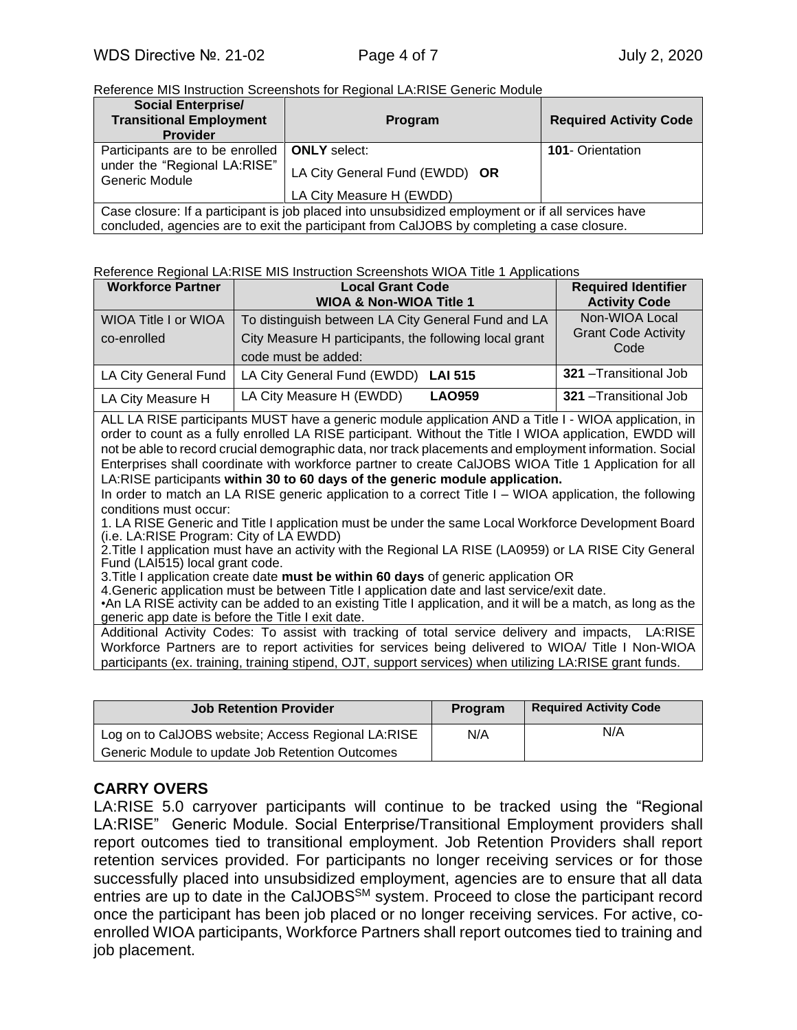Reference MIS Instruction Screenshots for Regional LA:RISE Generic Module

| <b>Social Enterprise/</b><br><b>Transitional Employment</b><br><b>Provider</b>                    | Program                        | <b>Required Activity Code</b> |  |
|---------------------------------------------------------------------------------------------------|--------------------------------|-------------------------------|--|
| Participants are to be enrolled                                                                   | <b>ONLY</b> select:            | <b>101- Orientation</b>       |  |
| under the "Regional LA:RISE"<br>Generic Module                                                    | LA City General Fund (EWDD) OR |                               |  |
|                                                                                                   | LA City Measure H (EWDD)       |                               |  |
| Case closure: If a participant is job placed into unsubsidized employment or if all services have |                                |                               |  |
| concluded, agencies are to exit the participant from CalJOBS by completing a case closure.        |                                |                               |  |

#### Reference Regional LA:RISE MIS Instruction Screenshots WIOA Title 1 Applications

| <b>Workforce Partner</b>                   | <b>Local Grant Code</b><br><b>WIOA &amp; Non-WIOA Title 1</b>                                                                       | <b>Required Identifier</b><br><b>Activity Code</b>   |
|--------------------------------------------|-------------------------------------------------------------------------------------------------------------------------------------|------------------------------------------------------|
| <b>WIOA Title I or WIOA</b><br>co-enrolled | To distinguish between LA City General Fund and LA<br>City Measure H participants, the following local grant<br>code must be added: | Non-WIOA Local<br><b>Grant Code Activity</b><br>Code |
| LA City General Fund                       | LA City General Fund (EWDD)<br><b>LAI 515</b>                                                                                       | 321 - Transitional Job                               |
| LA City Measure H                          | LA City Measure H (EWDD)<br><b>LAO959</b>                                                                                           | 321 - Transitional Job                               |

ALL LA RISE participants MUST have a generic module application AND a Title I - WIOA application, in order to count as a fully enrolled LA RISE participant. Without the Title I WIOA application, EWDD will not be able to record crucial demographic data, nor track placements and employment information. Social Enterprises shall coordinate with workforce partner to create CalJOBS WIOA Title 1 Application for all LA:RISE participants **within 30 to 60 days of the generic module application.**

In order to match an LA RISE generic application to a correct Title I – WIOA application, the following conditions must occur:

1. LA RISE Generic and Title I application must be under the same Local Workforce Development Board (i.e. LA:RISE Program: City of LA EWDD)

2.Title I application must have an activity with the Regional LA RISE (LA0959) or LA RISE City General Fund (LAI515) local grant code.

3.Title I application create date **must be within 60 days** of generic application OR

4.Generic application must be between Title I application date and last service/exit date.

•An LA RISE activity can be added to an existing Title I application, and it will be a match, as long as the generic app date is before the Title I exit date.

Additional Activity Codes: To assist with tracking of total service delivery and impacts, LA:RISE Workforce Partners are to report activities for services being delivered to WIOA/ Title I Non-WIOA participants (ex. training, training stipend, OJT, support services) when utilizing LA:RISE grant funds.

| Job Retention Provider                             | Program | <b>Required Activity Code</b> |
|----------------------------------------------------|---------|-------------------------------|
| Log on to CalJOBS website; Access Regional LA:RISE | N/A     | N/A                           |
| Generic Module to update Job Retention Outcomes    |         |                               |

#### **CARRY OVERS**

LA:RISE 5.0 carryover participants will continue to be tracked using the "Regional LA:RISE" Generic Module. Social Enterprise/Transitional Employment providers shall report outcomes tied to transitional employment. Job Retention Providers shall report retention services provided. For participants no longer receiving services or for those successfully placed into unsubsidized employment, agencies are to ensure that all data entries are up to date in the CalJOBS<sup>SM</sup> system. Proceed to close the participant record once the participant has been job placed or no longer receiving services. For active, coenrolled WIOA participants, Workforce Partners shall report outcomes tied to training and job placement.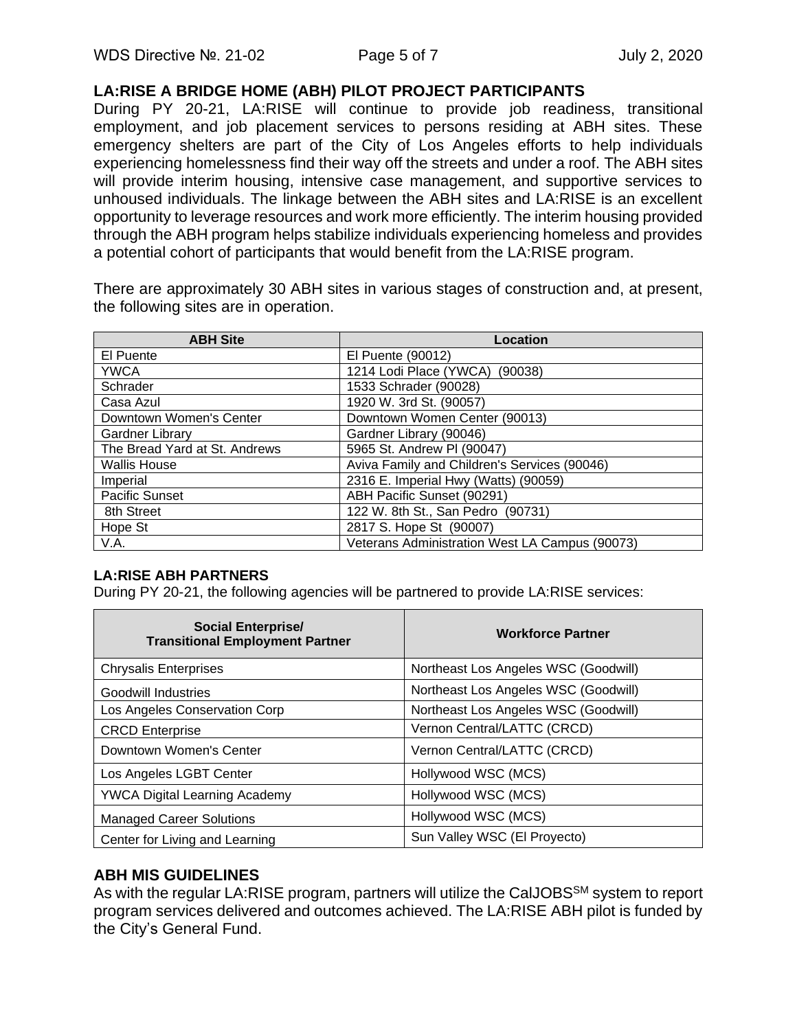#### **LA:RISE A BRIDGE HOME (ABH) PILOT PROJECT PARTICIPANTS**

During PY 20-21, LA:RISE will continue to provide job readiness, transitional employment, and job placement services to persons residing at ABH sites. These emergency shelters are part of the City of Los Angeles efforts to help individuals experiencing homelessness find their way off the streets and under a roof. The ABH sites will provide interim housing, intensive case management, and supportive services to unhoused individuals. The linkage between the ABH sites and LA:RISE is an excellent opportunity to leverage resources and work more efficiently. The interim housing provided through the ABH program helps stabilize individuals experiencing homeless and provides a potential cohort of participants that would benefit from the LA:RISE program.

There are approximately 30 ABH sites in various stages of construction and, at present, the following sites are in operation.

| <b>ABH Site</b>               | Location                                       |
|-------------------------------|------------------------------------------------|
| El Puente                     | El Puente (90012)                              |
| <b>YWCA</b>                   | 1214 Lodi Place (YWCA)<br>(90038)              |
| Schrader                      | 1533 Schrader (90028)                          |
| Casa Azul                     | 1920 W. 3rd St. (90057)                        |
| Downtown Women's Center       | Downtown Women Center (90013)                  |
| <b>Gardner Library</b>        | Gardner Library (90046)                        |
| The Bread Yard at St. Andrews | 5965 St. Andrew PI (90047)                     |
| <b>Wallis House</b>           | Aviva Family and Children's Services (90046)   |
| Imperial                      | 2316 E. Imperial Hwy (Watts) (90059)           |
| <b>Pacific Sunset</b>         | ABH Pacific Sunset (90291)                     |
| 8th Street                    | 122 W. 8th St., San Pedro (90731)              |
| Hope St                       | 2817 S. Hope St (90007)                        |
| V.A.                          | Veterans Administration West LA Campus (90073) |

#### **LA:RISE ABH PARTNERS**

During PY 20-21, the following agencies will be partnered to provide LA:RISE services:

| <b>Social Enterprise/</b><br><b>Transitional Employment Partner</b> | <b>Workforce Partner</b>             |
|---------------------------------------------------------------------|--------------------------------------|
| <b>Chrysalis Enterprises</b>                                        | Northeast Los Angeles WSC (Goodwill) |
| Goodwill Industries                                                 | Northeast Los Angeles WSC (Goodwill) |
| Los Angeles Conservation Corp                                       | Northeast Los Angeles WSC (Goodwill) |
| <b>CRCD Enterprise</b>                                              | Vernon Central/LATTC (CRCD)          |
| Downtown Women's Center                                             | Vernon Central/LATTC (CRCD)          |
| Los Angeles LGBT Center                                             | Hollywood WSC (MCS)                  |
| <b>YWCA Digital Learning Academy</b>                                | Hollywood WSC (MCS)                  |
| <b>Managed Career Solutions</b>                                     | Hollywood WSC (MCS)                  |
| Center for Living and Learning                                      | Sun Valley WSC (El Proyecto)         |

# **ABH MIS GUIDELINES**

As with the regular LA:RISE program, partners will utilize the CalJOBS<sup>SM</sup> system to report program services delivered and outcomes achieved. The LA:RISE ABH pilot is funded by the City's General Fund.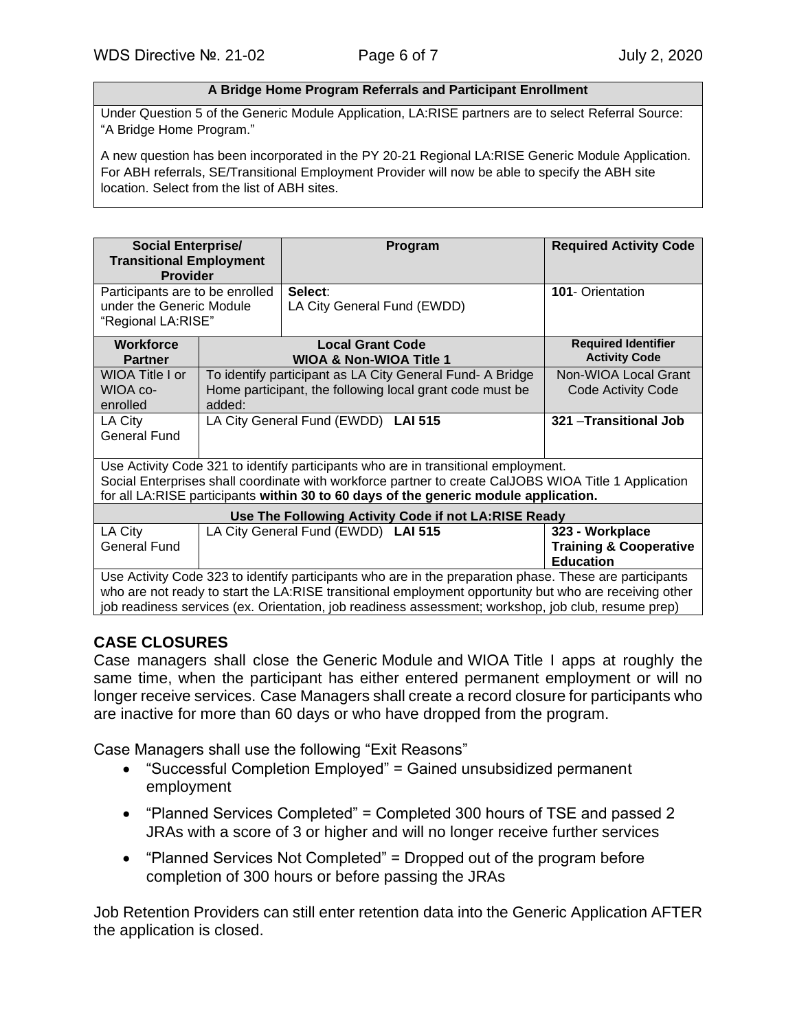#### **A Bridge Home Program Referrals and Participant Enrollment**

Under Question 5 of the Generic Module Application, LA:RISE partners are to select Referral Source: "A Bridge Home Program."

A new question has been incorporated in the PY 20-21 Regional LA:RISE Generic Module Application. For ABH referrals, SE/Transitional Employment Provider will now be able to specify the ABH site location. Select from the list of ABH sites.

| <b>Social Enterprise/</b><br><b>Transitional Employment</b>                                             |                                                          | Program                                                   | <b>Required Activity Code</b>     |
|---------------------------------------------------------------------------------------------------------|----------------------------------------------------------|-----------------------------------------------------------|-----------------------------------|
| <b>Provider</b>                                                                                         |                                                          |                                                           |                                   |
|                                                                                                         | Select:<br>Participants are to be enrolled               |                                                           | <b>101- Orientation</b>           |
| under the Generic Module                                                                                |                                                          | LA City General Fund (EWDD)                               |                                   |
| "Regional LA:RISE"                                                                                      |                                                          |                                                           |                                   |
| <b>Workforce</b>                                                                                        |                                                          | <b>Local Grant Code</b>                                   | <b>Required Identifier</b>        |
| <b>Partner</b>                                                                                          |                                                          | <b>WIOA &amp; Non-WIOA Title 1</b>                        | <b>Activity Code</b>              |
| WIOA Title I or                                                                                         |                                                          | To identify participant as LA City General Fund- A Bridge | Non-WIOA Local Grant              |
| WIOA co-                                                                                                | Home participant, the following local grant code must be |                                                           | <b>Code Activity Code</b>         |
| enrolled                                                                                                | added:                                                   |                                                           |                                   |
| LA City                                                                                                 | LA City General Fund (EWDD) LAI 515                      |                                                           | 321 - Transitional Job            |
| General Fund                                                                                            |                                                          |                                                           |                                   |
|                                                                                                         |                                                          |                                                           |                                   |
| Use Activity Code 321 to identify participants who are in transitional employment.                      |                                                          |                                                           |                                   |
| Social Enterprises shall coordinate with workforce partner to create CalJOBS WIOA Title 1 Application   |                                                          |                                                           |                                   |
| for all LA:RISE participants within 30 to 60 days of the generic module application.                    |                                                          |                                                           |                                   |
| Use The Following Activity Code if not LA:RISE Ready                                                    |                                                          |                                                           |                                   |
| LA City                                                                                                 |                                                          | LA City General Fund (EWDD) LAI 515                       | 323 - Workplace                   |
| <b>General Fund</b>                                                                                     |                                                          |                                                           | <b>Training &amp; Cooperative</b> |
|                                                                                                         |                                                          |                                                           | <b>Education</b>                  |
| Use Activity Code 323 to identify participants who are in the preparation phase. These are participants |                                                          |                                                           |                                   |
| who are not ready to start the LA:RISE transitional employment opportunity but who are receiving other  |                                                          |                                                           |                                   |
| job readiness services (ex. Orientation, job readiness assessment; workshop, job club, resume prep)     |                                                          |                                                           |                                   |

#### **CASE CLOSURES**

Case managers shall close the Generic Module and WIOA Title I apps at roughly the same time, when the participant has either entered permanent employment or will no longer receive services. Case Managers shall create a record closure for participants who are inactive for more than 60 days or who have dropped from the program.

Case Managers shall use the following "Exit Reasons"

- "Successful Completion Employed" = Gained unsubsidized permanent employment
- "Planned Services Completed" = Completed 300 hours of TSE and passed 2 JRAs with a score of 3 or higher and will no longer receive further services
- "Planned Services Not Completed" = Dropped out of the program before completion of 300 hours or before passing the JRAs

Job Retention Providers can still enter retention data into the Generic Application AFTER the application is closed.